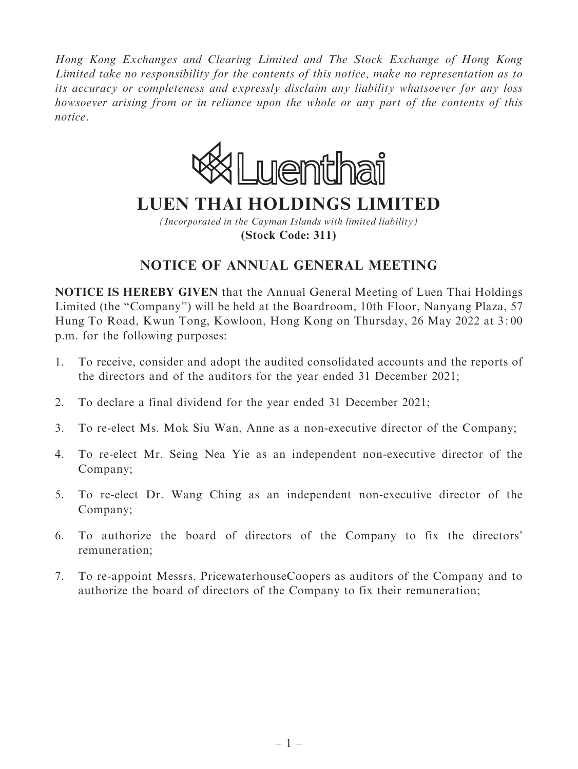Hong Kong Exchanges and Clearing Limited and The Stock Exchange of Hong Kong Limited take no responsibility for the contents of this notice, make no representation as to its accuracy or completeness and expressly disclaim any liability whatsoever for any loss howsoever arising from or in reliance upon the whole or any part of the contents of this notice.



# **LUEN THAI HOLDINGS LIMITED**

*(Incorporated in the Cayman Islands with limited liability)* **(Stock Code: 311)**

## NOTICE OF ANNUAL GENERAL MEETING

NOTICE IS HEREBY GIVEN that the Annual General Meeting of Luen Thai Holdings Limited (the "Company") will be held at the Boardroom, 10th Floor, Nanyang Plaza, 57 Hung To Road, Kwun Tong, Kowloon, Hong Kong on Thursday, 26 May 2022 at 3: 00 p.m. for the following purposes:

- 1. To receive, consider and adopt the audited consolidated accounts and the reports of the directors and of the auditors for the year ended 31 December 2021;
- 2. To declare a final dividend for the year ended 31 December 2021;
- 3. To re-elect Ms. Mok Siu Wan, Anne as a non-executive director of the Company;
- 4. To re-elect Mr. Seing Nea Yie as an independent non-executive director of the Company;
- 5. To re-elect Dr. Wang Ching as an independent non-executive director of the Company;
- 6. To authorize the board of directors of the Company to fix the directors' remuneration;
- 7. To re-appoint Messrs. PricewaterhouseCoopers as auditors of the Company and to authorize the board of directors of the Company to fix their remuneration;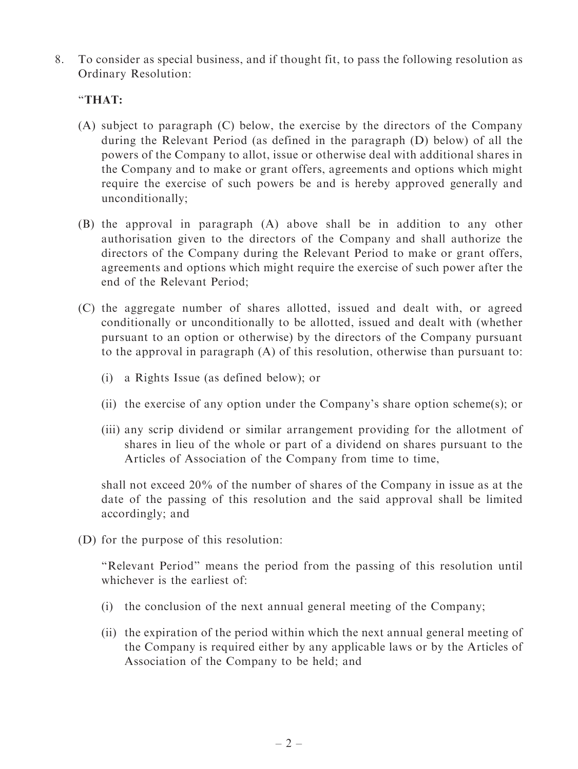8. To consider as special business, and if thought fit, to pass the following resolution as Ordinary Resolution:

#### ''THAT:

- (A) subject to paragraph (C) below, the exercise by the directors of the Company during the Relevant Period (as defined in the paragraph (D) below) of all the powers of the Company to allot, issue or otherwise deal with additional shares in the Company and to make or grant offers, agreements and options which might require the exercise of such powers be and is hereby approved generally and unconditionally;
- (B) the approval in paragraph (A) above shall be in addition to any other authorisation given to the directors of the Company and shall authorize the directors of the Company during the Relevant Period to make or grant offers, agreements and options which might require the exercise of such power after the end of the Relevant Period;
- (C) the aggregate number of shares allotted, issued and dealt with, or agreed conditionally or unconditionally to be allotted, issued and dealt with (whether pursuant to an option or otherwise) by the directors of the Company pursuant to the approval in paragraph (A) of this resolution, otherwise than pursuant to:
	- (i) a Rights Issue (as defined below); or
	- (ii) the exercise of any option under the Company's share option scheme(s); or
	- (iii) any scrip dividend or similar arrangement providing for the allotment of shares in lieu of the whole or part of a dividend on shares pursuant to the Articles of Association of the Company from time to time,

shall not exceed 20% of the number of shares of the Company in issue as at the date of the passing of this resolution and the said approval shall be limited accordingly; and

(D) for the purpose of this resolution:

''Relevant Period'' means the period from the passing of this resolution until whichever is the earliest of:

- (i) the conclusion of the next annual general meeting of the Company;
- (ii) the expiration of the period within which the next annual general meeting of the Company is required either by any applicable laws or by the Articles of Association of the Company to be held; and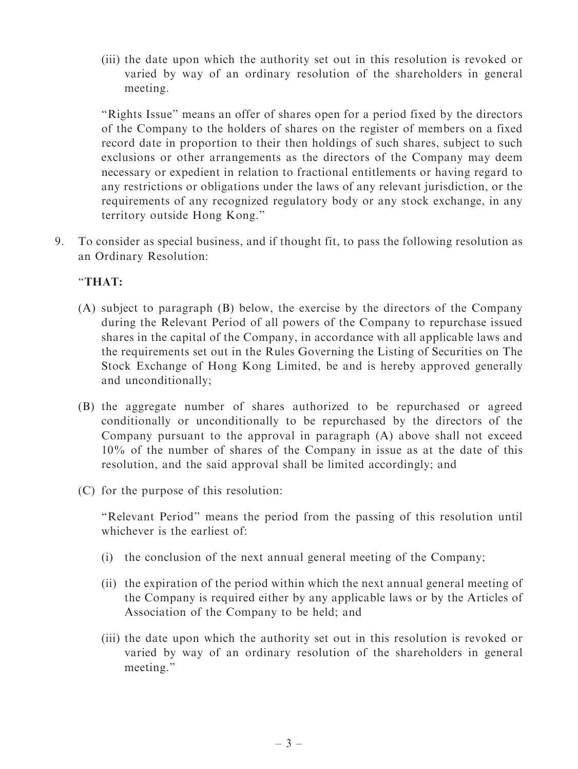(iii) the date upon which the authority set out in this resolution is revoked or varied by way of an ordinary resolution of the shareholders in general meeting.

"Rights Issue" means an offer of shares open for a period fixed by the directors of the Company to the holders of shares on the register of members on a fixed record date in proportion to their then holdings of such shares, subject to such exclusions or other arrangements as the directors of the Company may deem necessary or expedient in relation to fractional entitlements or having regard to any restrictions or obligations under the laws of any relevant jurisdiction, or the requirements of any recognized regulatory body or any stock exchange, in any territory outside Hong Kong.''

9. To consider as special business, and if thought fit, to pass the following resolution as an Ordinary Resolution:

### ''THAT:

- (A) subject to paragraph (B) below, the exercise by the directors of the Company during the Relevant Period of all powers of the Company to repurchase issued shares in the capital of the Company, in accordance with all applicable laws and the requirements set out in the Rules Governing the Listing of Securities on The Stock Exchange of Hong Kong Limited, be and is hereby approved generally and unconditionally;
- (B) the aggregate number of shares authorized to be repurchased or agreed conditionally or unconditionally to be repurchased by the directors of the Company pursuant to the approval in paragraph (A) above shall not exceed 10% of the number of shares of the Company in issue as at the date of this resolution, and the said approval shall be limited accordingly; and
- (C) for the purpose of this resolution:

''Relevant Period'' means the period from the passing of this resolution until whichever is the earliest of:

- (i) the conclusion of the next annual general meeting of the Company;
- (ii) the expiration of the period within which the next annual general meeting of the Company is required either by any applicable laws or by the Articles of Association of the Company to be held; and
- (iii) the date upon which the authority set out in this resolution is revoked or varied by way of an ordinary resolution of the shareholders in general meeting.''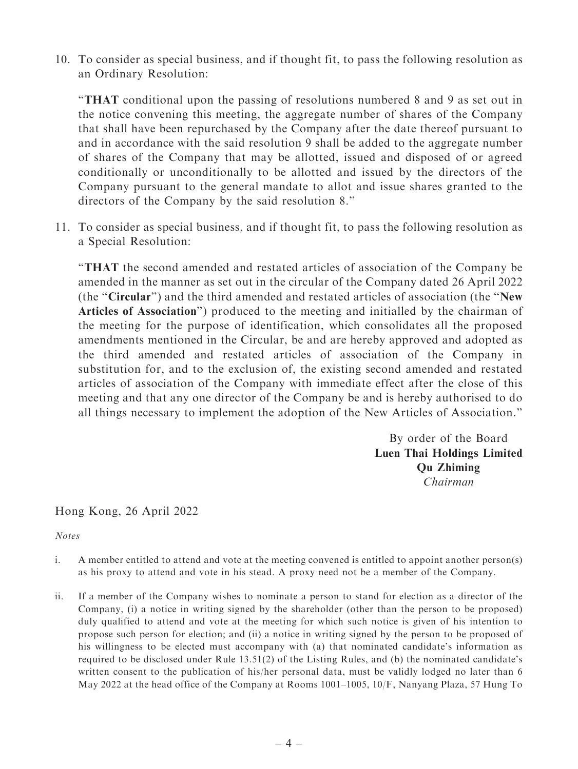10. To consider as special business, and if thought fit, to pass the following resolution as an Ordinary Resolution:

''THAT conditional upon the passing of resolutions numbered 8 and 9 as set out in the notice convening this meeting, the aggregate number of shares of the Company that shall have been repurchased by the Company after the date thereof pursuant to and in accordance with the said resolution 9 shall be added to the aggregate number of shares of the Company that may be allotted, issued and disposed of or agreed conditionally or unconditionally to be allotted and issued by the directors of the Company pursuant to the general mandate to allot and issue shares granted to the directors of the Company by the said resolution 8.''

11. To consider as special business, and if thought fit, to pass the following resolution as a Special Resolution:

''THAT the second amended and restated articles of association of the Company be amended in the manner as set out in the circular of the Company dated 26 April 2022 (the ''Circular'') and the third amended and restated articles of association (the ''New Articles of Association'') produced to the meeting and initialled by the chairman of the meeting for the purpose of identification, which consolidates all the proposed amendments mentioned in the Circular, be and are hereby approved and adopted as the third amended and restated articles of association of the Company in substitution for, and to the exclusion of, the existing second amended and restated articles of association of the Company with immediate effect after the close of this meeting and that any one director of the Company be and is hereby authorised to do all things necessary to implement the adoption of the New Articles of Association.''

> By order of the Board Luen Thai Holdings Limited Qu Zhiming Chairman

#### Hong Kong, 26 April 2022

Notes

- i. A member entitled to attend and vote at the meeting convened is entitled to appoint another person(s) as his proxy to attend and vote in his stead. A proxy need not be a member of the Company.
- ii. If a member of the Company wishes to nominate a person to stand for election as a director of the Company, (i) a notice in writing signed by the shareholder (other than the person to be proposed) duly qualified to attend and vote at the meeting for which such notice is given of his intention to propose such person for election; and (ii) a notice in writing signed by the person to be proposed of his willingness to be elected must accompany with (a) that nominated candidate's information as required to be disclosed under Rule 13.51(2) of the Listing Rules, and (b) the nominated candidate's written consent to the publication of his/her personal data, must be validly lodged no later than 6 May 2022 at the head office of the Company at Rooms 1001–1005, 10/F, Nanyang Plaza, 57 Hung To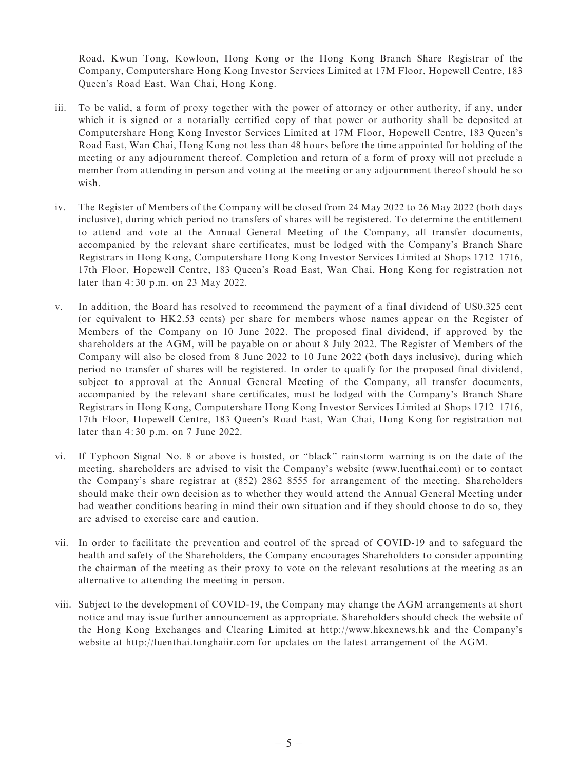Road, Kwun Tong, Kowloon, Hong Kong or the Hong Kong Branch Share Registrar of the Company, Computershare Hong Kong Investor Services Limited at 17M Floor, Hopewell Centre, 183 Queen's Road East, Wan Chai, Hong Kong.

- iii. To be valid, a form of proxy together with the power of attorney or other authority, if any, under which it is signed or a notarially certified copy of that power or authority shall be deposited at Computershare Hong Kong Investor Services Limited at 17M Floor, Hopewell Centre, 183 Queen's Road East, Wan Chai, Hong Kong not less than 48 hours before the time appointed for holding of the meeting or any adjournment thereof. Completion and return of a form of proxy will not preclude a member from attending in person and voting at the meeting or any adjournment thereof should he so wish.
- iv. The Register of Members of the Company will be closed from 24 May 2022 to 26 May 2022 (both days inclusive), during which period no transfers of shares will be registered. To determine the entitlement to attend and vote at the Annual General Meeting of the Company, all transfer documents, accompanied by the relevant share certificates, must be lodged with the Company's Branch Share Registrars in Hong Kong, Computershare Hong Kong Investor Services Limited at Shops 1712–1716, 17th Floor, Hopewell Centre, 183 Queen's Road East, Wan Chai, Hong Kong for registration not later than 4: 30 p.m. on 23 May 2022.
- v. In addition, the Board has resolved to recommend the payment of a final dividend of US0.325 cent (or equivalent to HK2.53 cents) per share for members whose names appear on the Register of Members of the Company on 10 June 2022. The proposed final dividend, if approved by the shareholders at the AGM, will be payable on or about 8 July 2022. The Register of Members of the Company will also be closed from 8 June 2022 to 10 June 2022 (both days inclusive), during which period no transfer of shares will be registered. In order to qualify for the proposed final dividend, subject to approval at the Annual General Meeting of the Company, all transfer documents, accompanied by the relevant share certificates, must be lodged with the Company's Branch Share Registrars in Hong Kong, Computershare Hong Kong Investor Services Limited at Shops 1712–1716, 17th Floor, Hopewell Centre, 183 Queen's Road East, Wan Chai, Hong Kong for registration not later than 4: 30 p.m. on 7 June 2022.
- vi. If Typhoon Signal No. 8 or above is hoisted, or ''black'' rainstorm warning is on the date of the meeting, shareholders are advised to visit the Company's website (www.luenthai.com) or to contact the Company's share registrar at (852) 2862 8555 for arrangement of the meeting. Shareholders should make their own decision as to whether they would attend the Annual General Meeting under bad weather conditions bearing in mind their own situation and if they should choose to do so, they are advised to exercise care and caution.
- vii. In order to facilitate the prevention and control of the spread of COVID-19 and to safeguard the health and safety of the Shareholders, the Company encourages Shareholders to consider appointing the chairman of the meeting as their proxy to vote on the relevant resolutions at the meeting as an alternative to attending the meeting in person.
- viii. Subject to the development of COVID-19, the Company may change the AGM arrangements at short notice and may issue further announcement as appropriate. Shareholders should check the website of the Hong Kong Exchanges and Clearing Limited at http://www.hkexnews.hk and the Company's website at http://luenthai.tonghaiir.com for updates on the latest arrangement of the AGM.